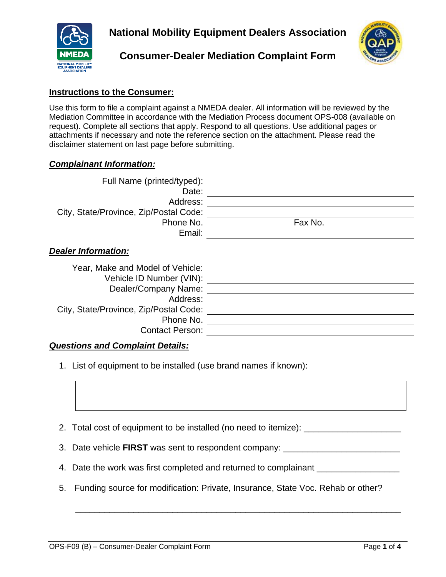





### **Instructions to the Consumer:**

Use this form to file a complaint against a NMEDA dealer. All information will be reviewed by the Mediation Committee in accordance with the Mediation Process document OPS-008 (available on request). Complete all sections that apply. Respond to all questions. Use additional pages or attachments if necessary and note the reference section on the attachment. Please read the disclaimer statement on last page before submitting.

### *Complainant Information:*

| Full Name (printed/typed):<br>Date:<br>Address:<br>City, State/Province, Zip/Postal Code:<br>Phone No.<br>Email: | Fax No. |
|------------------------------------------------------------------------------------------------------------------|---------|
| <b>Dealer Information:</b>                                                                                       |         |
| Year, Make and Model of Vehicle:                                                                                 |         |
| Vehicle ID Number (VIN):                                                                                         |         |
| Dealer/Company Name:                                                                                             |         |
| Address:                                                                                                         |         |
| City, State/Province, Zip/Postal Code:                                                                           |         |
| Phone No.                                                                                                        |         |
| <b>Contact Person:</b>                                                                                           |         |

### *Questions and Complaint Details:*

- 1. List of equipment to be installed (use brand names if known):
- 2. Total cost of equipment to be installed (no need to itemize): \_\_\_\_\_\_\_\_\_\_\_\_\_\_\_
- 3. Date vehicle **FIRST** was sent to respondent company: \_\_\_\_\_\_\_\_\_\_\_\_\_\_\_\_\_\_\_\_\_\_\_\_
- 4. Date the work was first completed and returned to complainant \_\_\_\_\_\_\_\_\_\_\_\_\_\_\_
- 5. Funding source for modification: Private, Insurance, State Voc. Rehab or other?

\_\_\_\_\_\_\_\_\_\_\_\_\_\_\_\_\_\_\_\_\_\_\_\_\_\_\_\_\_\_\_\_\_\_\_\_\_\_\_\_\_\_\_\_\_\_\_\_\_\_\_\_\_\_\_\_\_\_\_\_\_\_\_\_\_\_\_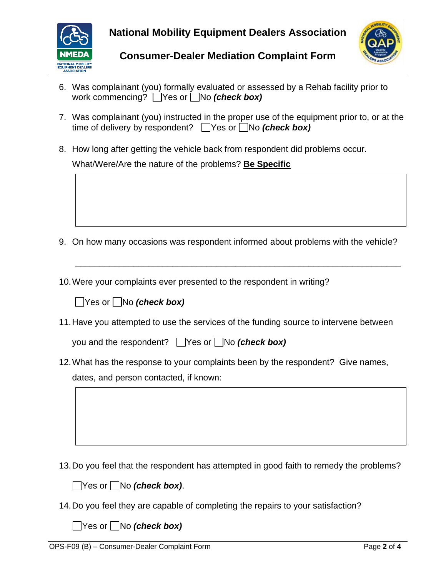



# **Consumer-Dealer Mediation Complaint Form**

- 6. Was complainant (you) formally evaluated or assessed by a Rehab facility prior to work commencing? **Nes or No** *(check box)*
- 7. Was complainant (you) instructed in the proper use of the equipment prior to, or at the time of delivery by respondent? Yes or No *(check box)*
- 8. How long after getting the vehicle back from respondent did problems occur. What/Were/Are the nature of the problems? **Be Specific**

9. On how many occasions was respondent informed about problems with the vehicle?

\_\_\_\_\_\_\_\_\_\_\_\_\_\_\_\_\_\_\_\_\_\_\_\_\_\_\_\_\_\_\_\_\_\_\_\_\_\_\_\_\_\_\_\_\_\_\_\_\_\_\_\_\_\_\_\_\_\_\_\_\_\_\_\_\_\_\_

10.Were your complaints ever presented to the respondent in writing?

Yes or No *(check box)*

11.Have you attempted to use the services of the funding source to intervene between

you and the respondent?  $\Box$  Yes or  $\Box$  No *(check box)* 

12.What has the response to your complaints been by the respondent? Give names, dates, and person contacted, if known:

13.Do you feel that the respondent has attempted in good faith to remedy the problems?

Yes or No *(check box)*.

14.Do you feel they are capable of completing the repairs to your satisfaction?

Yes or No *(check box)*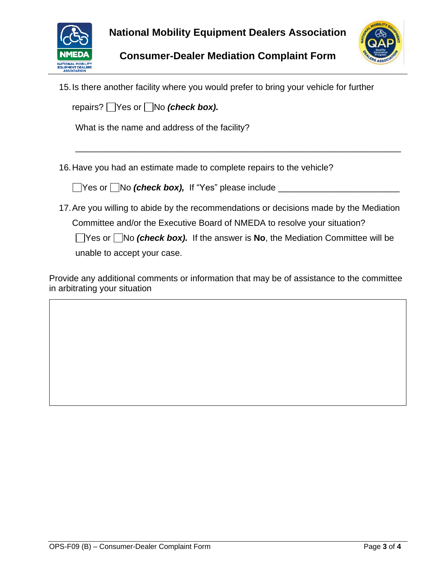





15.Is there another facility where you would prefer to bring your vehicle for further

repairs? Yes or No *(check box)*.

What is the name and address of the facility?

16.Have you had an estimate made to complete repairs to the vehicle?

■ Yes or ■ No *(check box),* If "Yes" please include ■ <u>\_\_\_\_\_\_\_\_\_\_\_\_</u>

17.Are you willing to abide by the recommendations or decisions made by the Mediation

\_\_\_\_\_\_\_\_\_\_\_\_\_\_\_\_\_\_\_\_\_\_\_\_\_\_\_\_\_\_\_\_\_\_\_\_\_\_\_\_\_\_\_\_\_\_\_\_\_\_\_\_\_\_\_\_\_\_\_\_\_\_\_\_\_\_\_

Committee and/or the Executive Board of NMEDA to resolve your situation?

■ Yes or ■ No *(check box).* If the answer is No, the Mediation Committee will be unable to accept your case.

Provide any additional comments or information that may be of assistance to the committee in arbitrating your situation